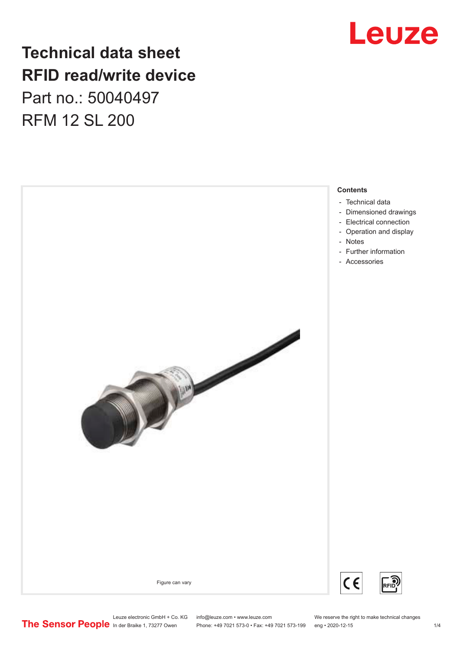## **Technical data sheet RFID read/write device** Part no.: 50040497

RFM 12 SL 200





Phone: +49 7021 573-0 • Fax: +49 7021 573-199 eng • 2020-12-15

Leuze electronic GmbH + Co. KG info@leuze.com • www.leuze.com We reserve the right to make technical changes<br>
The Sensor People in der Braike 1, 73277 Owen Phone: +49 7021 573-0 • Fax: +49 7021 573-199 eng • 2020-12-15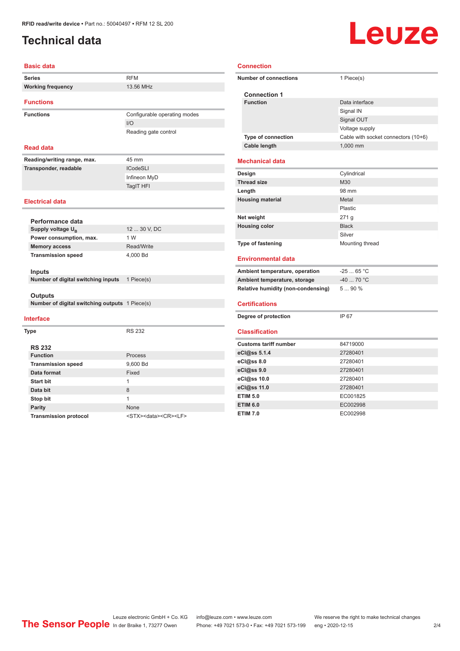### <span id="page-1-0"></span>**Technical data**

# Leuze

#### **Basic data Series** RFM **Working frequency** 13.56 MHz **Functions Functions Functions Configurable operating modes** I/O Reading gate control **Read data Reading/writing range, max.** 45 mm **Transponder, readable ICodeSLI** Infineon MyD TagIT HFI **Electrical data Performance data Supply voltage U<sub>B</sub>** 12 ... 30 V, DC **Power consumption, max.** 1 W **Memory access** Read/Write **Transmission speed** 4,000 Bd

#### **Outputs**

**Inputs**

**Number of digital switching outputs** 1 Piece(s)

**Number of digital switching inputs** 1 Piece(s)

#### **Interface**

| Type |                              | <b>RS 232</b>                              |
|------|------------------------------|--------------------------------------------|
|      | <b>RS 232</b>                |                                            |
|      | <b>Function</b>              | Process                                    |
|      | <b>Transmission speed</b>    | 9,600 Bd                                   |
|      | Data format                  | Fixed                                      |
|      | <b>Start bit</b>             | 1                                          |
|      | Data bit                     | 8                                          |
|      | Stop bit                     | 1                                          |
|      | <b>Parity</b>                | None                                       |
|      | <b>Transmission protocol</b> | <stx><data><cr><lf></lf></cr></data></stx> |

| <b>Number of connections</b>       | 1 Piece(s)                          |
|------------------------------------|-------------------------------------|
| <b>Connection 1</b>                |                                     |
| <b>Function</b>                    | Data interface                      |
|                                    | Signal IN                           |
|                                    | Signal OUT                          |
|                                    | Voltage supply                      |
| <b>Type of connection</b>          | Cable with socket connectors (10+6) |
| Cable length                       | 1,000 mm                            |
| <b>Mechanical data</b>             |                                     |
| Design                             | Cylindrical                         |
| <b>Thread size</b>                 | M30                                 |
| Length                             | 98 mm                               |
| <b>Housing material</b>            | Metal                               |
|                                    | Plastic                             |
| Net weight                         | 271q                                |
| <b>Housing color</b>               | <b>Black</b>                        |
|                                    | Silver                              |
| Type of fastening                  | Mounting thread                     |
| <b>Environmental data</b>          |                                     |
| Ambient temperature, operation     | $-2565 °C$                          |
| Ambient temperature, storage       | $-40$ 70 °C                         |
| Relative humidity (non-condensing) | 590%                                |
| <b>Certifications</b>              |                                     |
| Degree of protection               | IP 67                               |
| <b>Classification</b>              |                                     |
| <b>Customs tariff number</b>       | 84719000                            |
| eCl@ss 5.1.4                       | 27280401                            |
| eCl@ss 8.0                         | 27280401                            |
| eCl@ss 9.0                         | 27280401                            |
| eCl@ss 10.0                        | 27280401                            |
| eCl@ss 11.0                        | 27280401                            |
| <b>ETIM 5.0</b>                    | EC001825                            |
| <b>ETIM 6.0</b>                    | EC002998                            |
| <b>ETIM 7.0</b>                    | EC002998                            |

**Connection**

Leuze electronic GmbH + Co. KG info@leuze.com • www.leuze.com We reserve the right to make technical changes<br>
The Sensor People in der Braike 1, 73277 Owen Phone: +49 7021 573-0 • Fax: +49 7021 573-199 eng • 2020-12-15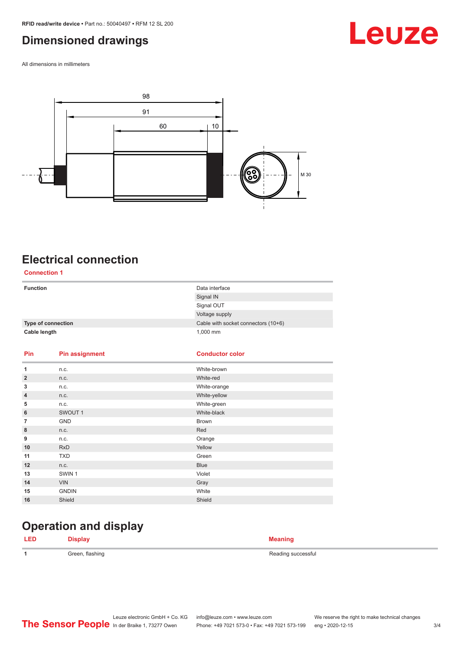#### <span id="page-2-0"></span>**Dimensioned drawings**

All dimensions in millimeters



#### **Electrical connection**

| <b>Connection 1</b> |                       |                                     |
|---------------------|-----------------------|-------------------------------------|
| <b>Function</b>     |                       | Data interface                      |
|                     |                       | Signal IN                           |
|                     |                       | Signal OUT                          |
|                     |                       | Voltage supply                      |
| Type of connection  |                       | Cable with socket connectors (10+6) |
| Cable length        |                       | 1,000 mm                            |
|                     |                       |                                     |
| Pin                 | <b>Pin assignment</b> | <b>Conductor color</b>              |
| 1                   | n.c.                  | White-brown                         |
| $\overline{2}$      | n.c.                  | White-red                           |
| 3                   | n.c.                  | White-orange                        |
| 4                   | n.c.                  | White-yellow                        |
| 5                   | n.c.                  | White-green                         |
| 6                   | SWOUT <sub>1</sub>    | White-black                         |
| $\overline{7}$      | <b>GND</b>            | <b>Brown</b>                        |
| 8                   | n.c.                  | Red                                 |
| 9                   | n.c.                  | Orange                              |
| 10                  | <b>RxD</b>            | Yellow                              |
| 11                  | <b>TXD</b>            | Green                               |
| 12                  | n.c.                  | <b>Blue</b>                         |
| 13                  | SWIN <sub>1</sub>     | Violet                              |
| 14                  | <b>VIN</b>            | Gray                                |
| 15                  | <b>GNDIN</b>          | White                               |
| 16                  | Shield                | Shield                              |

## **Operation and display**

| LED |                 |            |
|-----|-----------------|------------|
|     | Green, flashing | รนccessful |